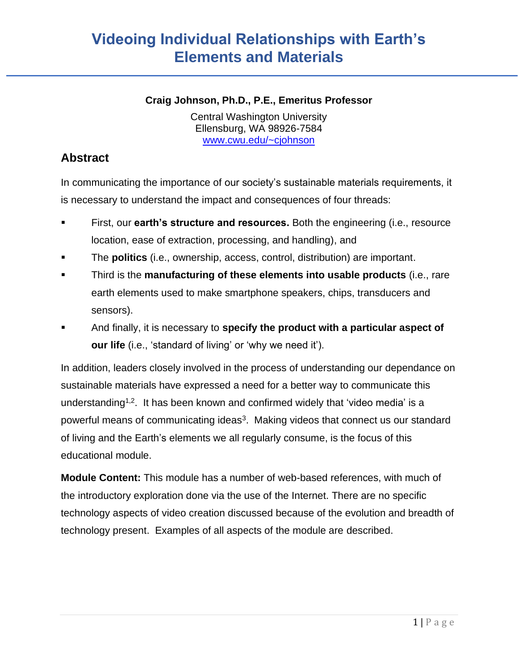#### **Craig Johnson, Ph.D., P.E., Emeritus Professor**

Central Washington University Ellensburg, WA 98926-7584 [www.cwu.edu/~cjohnson](http://www.cwu.edu/~cjohnson)

### **Abstract**

In communicating the importance of our society's sustainable materials requirements, it is necessary to understand the impact and consequences of four threads:

- First, our **earth's structure and resources.** Both the engineering (i.e., resource location, ease of extraction, processing, and handling), and
- The **politics** (i.e., ownership, access, control, distribution) are important.
- Third is the **manufacturing of these elements into usable products** (i.e., rare earth elements used to make smartphone speakers, chips, transducers and sensors).
- And finally, it is necessary to **specify the product with a particular aspect of our life** (i.e., 'standard of living' or 'why we need it').

In addition, leaders closely involved in the process of understanding our dependance on sustainable materials have expressed a need for a better way to communicate this understanding<sup>1,2</sup>. It has been known and confirmed widely that 'video media' is a powerful means of communicating ideas<sup>3</sup>. Making videos that connect us our standard of living and the Earth's elements we all regularly consume, is the focus of this educational module.

**Module Content:** This module has a number of web-based references, with much of the introductory exploration done via the use of the Internet. There are no specific technology aspects of video creation discussed because of the evolution and breadth of technology present. Examples of all aspects of the module are described.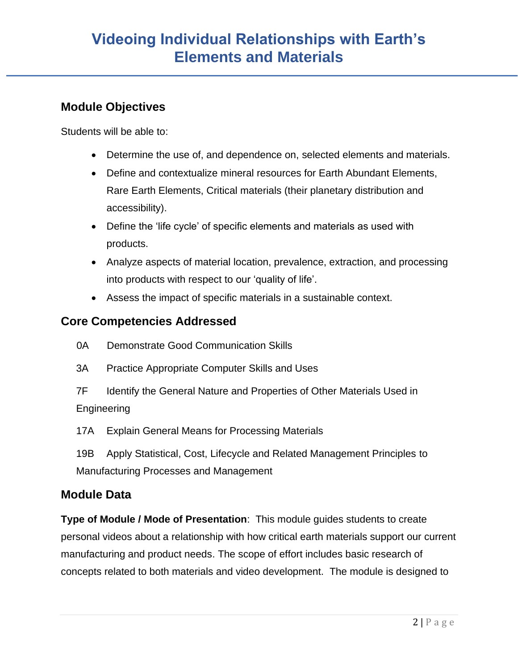### **Module Objectives**

Students will be able to:

- Determine the use of, and dependence on, selected elements and materials.
- Define and contextualize mineral resources for Earth Abundant Elements, Rare Earth Elements, Critical materials (their planetary distribution and accessibility).
- Define the 'life cycle' of specific elements and materials as used with products.
- Analyze aspects of material location, prevalence, extraction, and processing into products with respect to our 'quality of life'.
- Assess the impact of specific materials in a sustainable context.

### **Core Competencies Addressed**

- 0A Demonstrate Good Communication Skills
- 3A Practice Appropriate Computer Skills and Uses
- 7F Identify the General Nature and Properties of Other Materials Used in Engineering
- 17A Explain General Means for Processing Materials
- 19B Apply Statistical, Cost, Lifecycle and Related Management Principles to Manufacturing Processes and Management

### **Module Data**

**Type of Module / Mode of Presentation**: This module guides students to create personal videos about a relationship with how critical earth materials support our current manufacturing and product needs. The scope of effort includes basic research of concepts related to both materials and video development. The module is designed to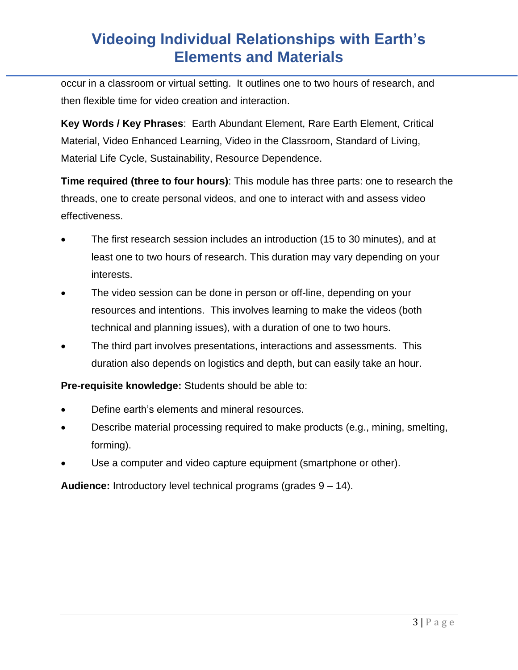occur in a classroom or virtual setting. It outlines one to two hours of research, and then flexible time for video creation and interaction.

**Key Words / Key Phrases**: Earth Abundant Element, Rare Earth Element, Critical Material, Video Enhanced Learning, Video in the Classroom, Standard of Living, Material Life Cycle, Sustainability, Resource Dependence.

**Time required (three to four hours)**: This module has three parts: one to research the threads, one to create personal videos, and one to interact with and assess video effectiveness.

- The first research session includes an introduction (15 to 30 minutes), and at least one to two hours of research. This duration may vary depending on your interests.
- The video session can be done in person or off-line, depending on your resources and intentions. This involves learning to make the videos (both technical and planning issues), with a duration of one to two hours.
- The third part involves presentations, interactions and assessments. This duration also depends on logistics and depth, but can easily take an hour.

**Pre-requisite knowledge:** Students should be able to:

- Define earth's elements and mineral resources.
- Describe material processing required to make products (e.g., mining, smelting, forming).
- Use a computer and video capture equipment (smartphone or other).

**Audience:** Introductory level technical programs (grades 9 – 14).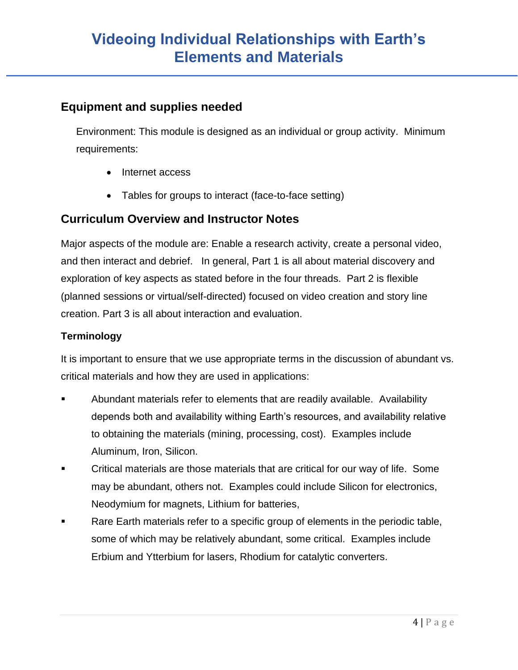### **Equipment and supplies needed**

Environment: This module is designed as an individual or group activity. Minimum requirements:

- Internet access
- Tables for groups to interact (face-to-face setting)

### **Curriculum Overview and Instructor Notes**

Major aspects of the module are: Enable a research activity, create a personal video, and then interact and debrief. In general, Part 1 is all about material discovery and exploration of key aspects as stated before in the four threads. Part 2 is flexible (planned sessions or virtual/self-directed) focused on video creation and story line creation. Part 3 is all about interaction and evaluation.

### **Terminology**

It is important to ensure that we use appropriate terms in the discussion of abundant vs. critical materials and how they are used in applications:

- Abundant materials refer to elements that are readily available. Availability depends both and availability withing Earth's resources, and availability relative to obtaining the materials (mining, processing, cost). Examples include Aluminum, Iron, Silicon.
- Critical materials are those materials that are critical for our way of life. Some may be abundant, others not. Examples could include Silicon for electronics, Neodymium for magnets, Lithium for batteries,
- Rare Earth materials refer to a specific group of elements in the periodic table, some of which may be relatively abundant, some critical. Examples include Erbium and Ytterbium for lasers, Rhodium for catalytic converters.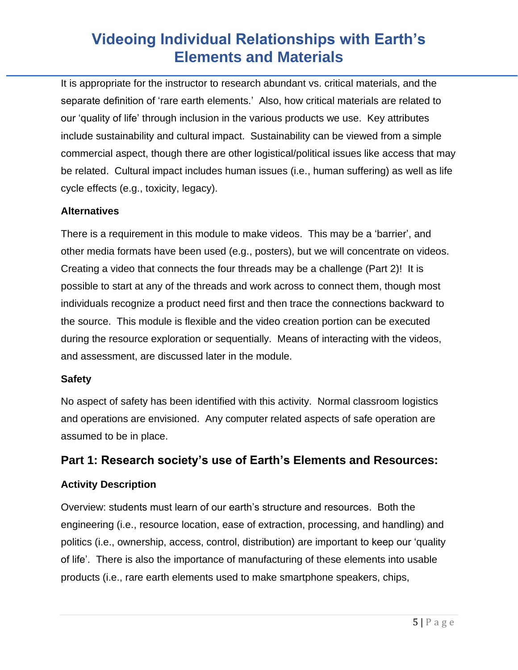It is appropriate for the instructor to research abundant vs. critical materials, and the separate definition of 'rare earth elements.' Also, how critical materials are related to our 'quality of life' through inclusion in the various products we use. Key attributes include sustainability and cultural impact. Sustainability can be viewed from a simple commercial aspect, though there are other logistical/political issues like access that may be related. Cultural impact includes human issues (i.e., human suffering) as well as life cycle effects (e.g., toxicity, legacy).

### **Alternatives**

There is a requirement in this module to make videos. This may be a 'barrier', and other media formats have been used (e.g., posters), but we will concentrate on videos. Creating a video that connects the four threads may be a challenge (Part 2)! It is possible to start at any of the threads and work across to connect them, though most individuals recognize a product need first and then trace the connections backward to the source. This module is flexible and the video creation portion can be executed during the resource exploration or sequentially. Means of interacting with the videos, and assessment, are discussed later in the module.

#### **Safety**

No aspect of safety has been identified with this activity. Normal classroom logistics and operations are envisioned. Any computer related aspects of safe operation are assumed to be in place.

### **Part 1: Research society's use of Earth's Elements and Resources:**

#### **Activity Description**

Overview: students must learn of our earth's structure and resources. Both the engineering (i.e., resource location, ease of extraction, processing, and handling) and politics (i.e., ownership, access, control, distribution) are important to keep our 'quality of life'. There is also the importance of manufacturing of these elements into usable products (i.e., rare earth elements used to make smartphone speakers, chips,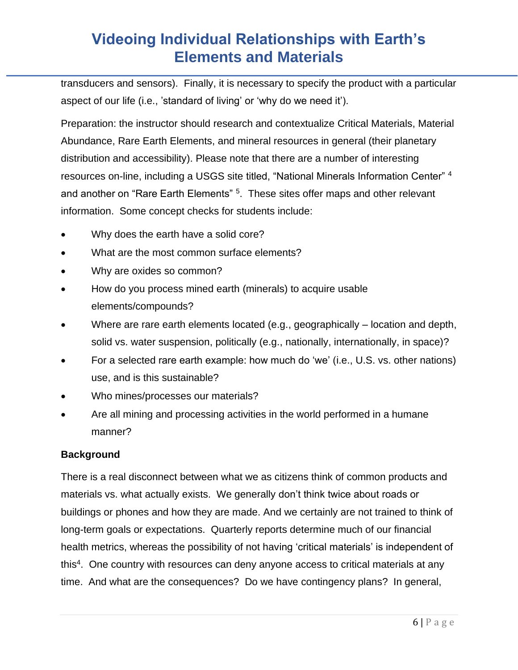transducers and sensors). Finally, it is necessary to specify the product with a particular aspect of our life (i.e., 'standard of living' or 'why do we need it').

Preparation: the instructor should research and contextualize Critical Materials, Material Abundance, Rare Earth Elements, and mineral resources in general (their planetary distribution and accessibility). Please note that there are a number of interesting resources on-line, including a USGS site titled, "National Minerals Information Center" <sup>4</sup> and another on "Rare Earth Elements" <sup>5</sup>. These sites offer maps and other relevant information. Some concept checks for students include:

- Why does the earth have a solid core?
- What are the most common surface elements?
- Why are oxides so common?
- How do you process mined earth (minerals) to acquire usable elements/compounds?
- Where are rare earth elements located (e.g., geographically location and depth, solid vs. water suspension, politically (e.g., nationally, internationally, in space)?
- For a selected rare earth example: how much do 'we' (i.e., U.S. vs. other nations) use, and is this sustainable?
- Who mines/processes our materials?
- Are all mining and processing activities in the world performed in a humane manner?

#### **Background**

There is a real disconnect between what we as citizens think of common products and materials vs. what actually exists. We generally don't think twice about roads or buildings or phones and how they are made. And we certainly are not trained to think of long-term goals or expectations. Quarterly reports determine much of our financial health metrics, whereas the possibility of not having 'critical materials' is independent of this<sup>4</sup>. One country with resources can deny anyone access to critical materials at any time. And what are the consequences? Do we have contingency plans? In general,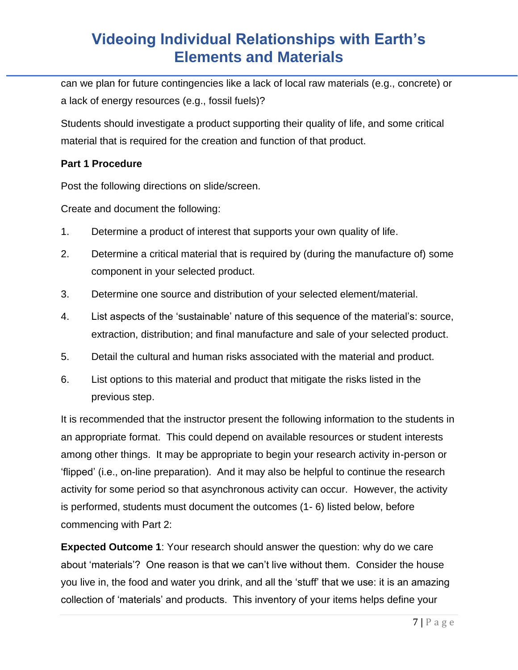can we plan for future contingencies like a lack of local raw materials (e.g., concrete) or a lack of energy resources (e.g., fossil fuels)?

Students should investigate a product supporting their quality of life, and some critical material that is required for the creation and function of that product.

### **Part 1 Procedure**

Post the following directions on slide/screen.

Create and document the following:

- 1. Determine a product of interest that supports your own quality of life.
- 2. Determine a critical material that is required by (during the manufacture of) some component in your selected product.
- 3. Determine one source and distribution of your selected element/material.
- 4. List aspects of the 'sustainable' nature of this sequence of the material's: source, extraction, distribution; and final manufacture and sale of your selected product.
- 5. Detail the cultural and human risks associated with the material and product.
- 6. List options to this material and product that mitigate the risks listed in the previous step.

It is recommended that the instructor present the following information to the students in an appropriate format. This could depend on available resources or student interests among other things. It may be appropriate to begin your research activity in-person or 'flipped' (i.e., on-line preparation). And it may also be helpful to continue the research activity for some period so that asynchronous activity can occur. However, the activity is performed, students must document the outcomes (1- 6) listed below, before commencing with Part 2:

**Expected Outcome 1**: Your research should answer the question: why do we care about 'materials'? One reason is that we can't live without them. Consider the house you live in, the food and water you drink, and all the 'stuff' that we use: it is an amazing collection of 'materials' and products. This inventory of your items helps define your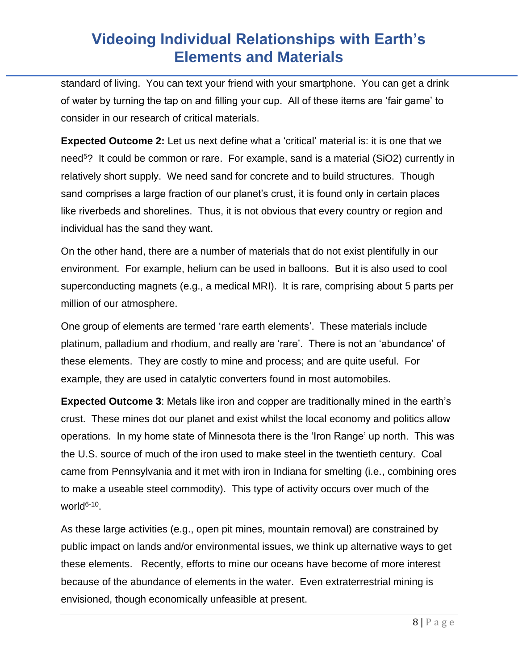standard of living. You can text your friend with your smartphone. You can get a drink of water by turning the tap on and filling your cup. All of these items are 'fair game' to consider in our research of critical materials.

**Expected Outcome 2:** Let us next define what a 'critical' material is: it is one that we need<sup>5</sup>? It could be common or rare. For example, sand is a material (SiO2) currently in relatively short supply. We need sand for concrete and to build structures. Though sand comprises a large fraction of our planet's crust, it is found only in certain places like riverbeds and shorelines. Thus, it is not obvious that every country or region and individual has the sand they want.

On the other hand, there are a number of materials that do not exist plentifully in our environment. For example, helium can be used in balloons. But it is also used to cool superconducting magnets (e.g., a medical MRI). It is rare, comprising about 5 parts per million of our atmosphere.

One group of elements are termed 'rare earth elements'. These materials include platinum, palladium and rhodium, and really are 'rare'. There is not an 'abundance' of these elements. They are costly to mine and process; and are quite useful. For example, they are used in catalytic converters found in most automobiles.

**Expected Outcome 3**: Metals like iron and copper are traditionally mined in the earth's crust. These mines dot our planet and exist whilst the local economy and politics allow operations. In my home state of Minnesota there is the 'Iron Range' up north. This was the U.S. source of much of the iron used to make steel in the twentieth century. Coal came from Pennsylvania and it met with iron in Indiana for smelting (i.e., combining ores to make a useable steel commodity). This type of activity occurs over much of the world<sup>6-10</sup>.

As these large activities (e.g., open pit mines, mountain removal) are constrained by public impact on lands and/or environmental issues, we think up alternative ways to get these elements. Recently, efforts to mine our oceans have become of more interest because of the abundance of elements in the water. Even extraterrestrial mining is envisioned, though economically unfeasible at present.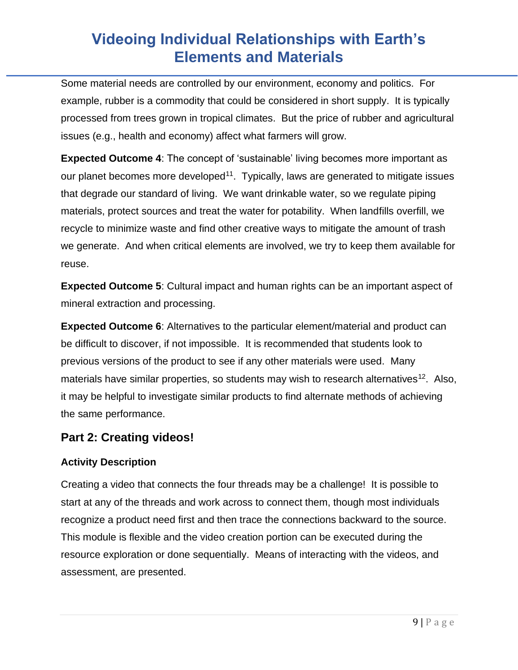Some material needs are controlled by our environment, economy and politics. For example, rubber is a commodity that could be considered in short supply. It is typically processed from trees grown in tropical climates. But the price of rubber and agricultural issues (e.g., health and economy) affect what farmers will grow.

**Expected Outcome 4:** The concept of 'sustainable' living becomes more important as our planet becomes more developed<sup>11</sup>. Typically, laws are generated to mitigate issues that degrade our standard of living. We want drinkable water, so we regulate piping materials, protect sources and treat the water for potability. When landfills overfill, we recycle to minimize waste and find other creative ways to mitigate the amount of trash we generate. And when critical elements are involved, we try to keep them available for reuse.

**Expected Outcome 5**: Cultural impact and human rights can be an important aspect of mineral extraction and processing.

**Expected Outcome 6**: Alternatives to the particular element/material and product can be difficult to discover, if not impossible. It is recommended that students look to previous versions of the product to see if any other materials were used. Many materials have similar properties, so students may wish to research alternatives<sup>12</sup>. Also, it may be helpful to investigate similar products to find alternate methods of achieving the same performance.

### **Part 2: Creating videos!**

### **Activity Description**

Creating a video that connects the four threads may be a challenge! It is possible to start at any of the threads and work across to connect them, though most individuals recognize a product need first and then trace the connections backward to the source. This module is flexible and the video creation portion can be executed during the resource exploration or done sequentially. Means of interacting with the videos, and assessment, are presented.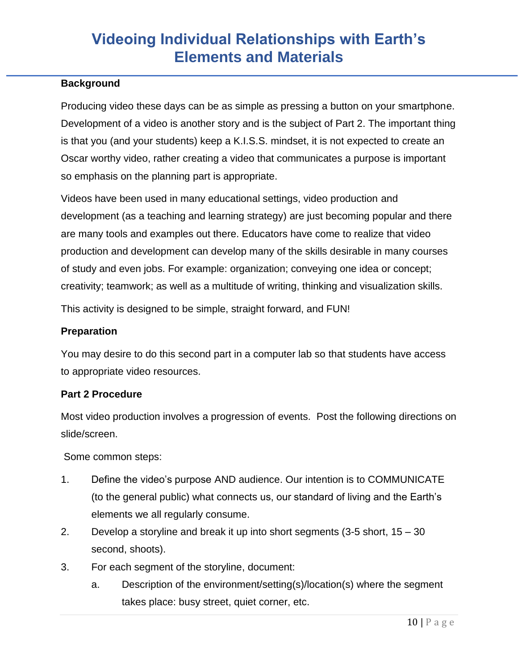### **Background**

Producing video these days can be as simple as pressing a button on your smartphone. Development of a video is another story and is the subject of Part 2. The important thing is that you (and your students) keep a K.I.S.S. mindset, it is not expected to create an Oscar worthy video, rather creating a video that communicates a purpose is important so emphasis on the planning part is appropriate.

Videos have been used in many educational settings, video production and development (as a teaching and learning strategy) are just becoming popular and there are many tools and examples out there. Educators have come to realize that video production and development can develop many of the skills desirable in many courses of study and even jobs. For example: organization; conveying one idea or concept; creativity; teamwork; as well as a multitude of writing, thinking and visualization skills.

This activity is designed to be simple, straight forward, and FUN!

#### **Preparation**

You may desire to do this second part in a computer lab so that students have access to appropriate video resources.

#### **Part 2 Procedure**

Most video production involves a progression of events. Post the following directions on slide/screen.

Some common steps:

- 1. Define the video's purpose AND audience. Our intention is to COMMUNICATE (to the general public) what connects us, our standard of living and the Earth's elements we all regularly consume.
- 2. Develop a storyline and break it up into short segments (3-5 short, 15 30 second, shoots).
- 3. For each segment of the storyline, document:
	- a. Description of the environment/setting(s)/location(s) where the segment takes place: busy street, quiet corner, etc.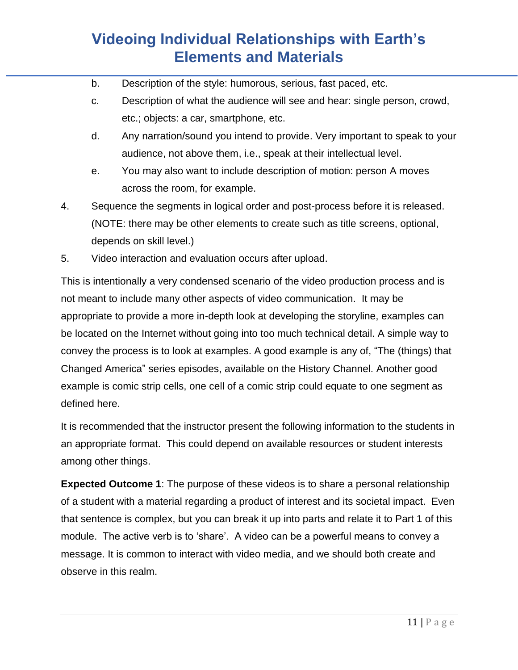- b. Description of the style: humorous, serious, fast paced, etc.
- c. Description of what the audience will see and hear: single person, crowd, etc.; objects: a car, smartphone, etc.
- d. Any narration/sound you intend to provide. Very important to speak to your audience, not above them, i.e., speak at their intellectual level.
- e. You may also want to include description of motion: person A moves across the room, for example.
- 4. Sequence the segments in logical order and post-process before it is released. (NOTE: there may be other elements to create such as title screens, optional, depends on skill level.)
- 5. Video interaction and evaluation occurs after upload.

This is intentionally a very condensed scenario of the video production process and is not meant to include many other aspects of video communication. It may be appropriate to provide a more in-depth look at developing the storyline, examples can be located on the Internet without going into too much technical detail. A simple way to convey the process is to look at examples. A good example is any of, "The (things) that Changed America" series episodes, available on the History Channel. Another good example is comic strip cells, one cell of a comic strip could equate to one segment as defined here.

It is recommended that the instructor present the following information to the students in an appropriate format. This could depend on available resources or student interests among other things.

**Expected Outcome 1**: The purpose of these videos is to share a personal relationship of a student with a material regarding a product of interest and its societal impact. Even that sentence is complex, but you can break it up into parts and relate it to Part 1 of this module. The active verb is to 'share'. A video can be a powerful means to convey a message. It is common to interact with video media, and we should both create and observe in this realm.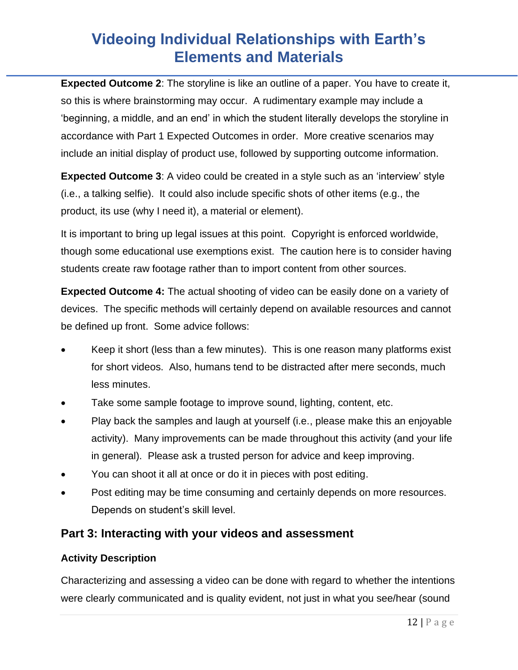**Expected Outcome 2**: The storyline is like an outline of a paper. You have to create it, so this is where brainstorming may occur. A rudimentary example may include a 'beginning, a middle, and an end' in which the student literally develops the storyline in accordance with Part 1 Expected Outcomes in order. More creative scenarios may include an initial display of product use, followed by supporting outcome information.

**Expected Outcome 3:** A video could be created in a style such as an 'interview' style (i.e., a talking selfie). It could also include specific shots of other items (e.g., the product, its use (why I need it), a material or element).

It is important to bring up legal issues at this point. Copyright is enforced worldwide, though some educational use exemptions exist. The caution here is to consider having students create raw footage rather than to import content from other sources.

**Expected Outcome 4:** The actual shooting of video can be easily done on a variety of devices. The specific methods will certainly depend on available resources and cannot be defined up front. Some advice follows:

- Keep it short (less than a few minutes). This is one reason many platforms exist for short videos. Also, humans tend to be distracted after mere seconds, much less minutes.
- Take some sample footage to improve sound, lighting, content, etc.
- Play back the samples and laugh at yourself (i.e., please make this an enjoyable activity). Many improvements can be made throughout this activity (and your life in general). Please ask a trusted person for advice and keep improving.
- You can shoot it all at once or do it in pieces with post editing.
- Post editing may be time consuming and certainly depends on more resources. Depends on student's skill level.

## **Part 3: Interacting with your videos and assessment**

### **Activity Description**

Characterizing and assessing a video can be done with regard to whether the intentions were clearly communicated and is quality evident, not just in what you see/hear (sound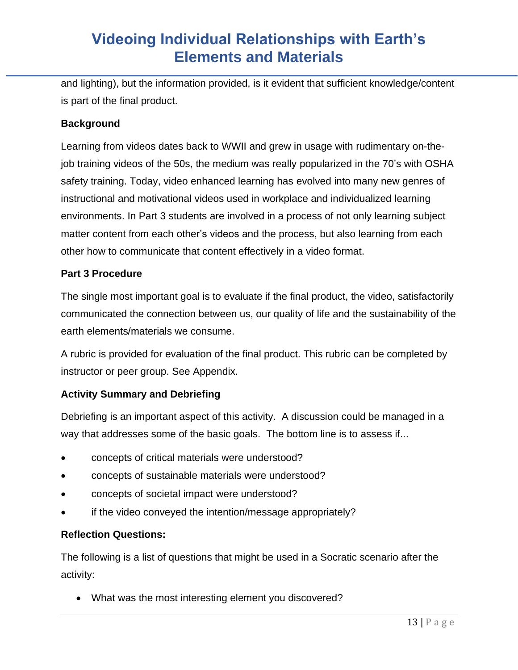and lighting), but the information provided, is it evident that sufficient knowledge/content is part of the final product.

#### **Background**

Learning from videos dates back to WWII and grew in usage with rudimentary on-thejob training videos of the 50s, the medium was really popularized in the 70's with OSHA safety training. Today, video enhanced learning has evolved into many new genres of instructional and motivational videos used in workplace and individualized learning environments. In Part 3 students are involved in a process of not only learning subject matter content from each other's videos and the process, but also learning from each other how to communicate that content effectively in a video format.

#### **Part 3 Procedure**

The single most important goal is to evaluate if the final product, the video, satisfactorily communicated the connection between us, our quality of life and the sustainability of the earth elements/materials we consume.

A rubric is provided for evaluation of the final product. This rubric can be completed by instructor or peer group. See Appendix.

#### **Activity Summary and Debriefing**

Debriefing is an important aspect of this activity. A discussion could be managed in a way that addresses some of the basic goals. The bottom line is to assess if...

- concepts of critical materials were understood?
- concepts of sustainable materials were understood?
- concepts of societal impact were understood?
- if the video conveyed the intention/message appropriately?

#### **Reflection Questions:**

The following is a list of questions that might be used in a Socratic scenario after the activity:

• What was the most interesting element you discovered?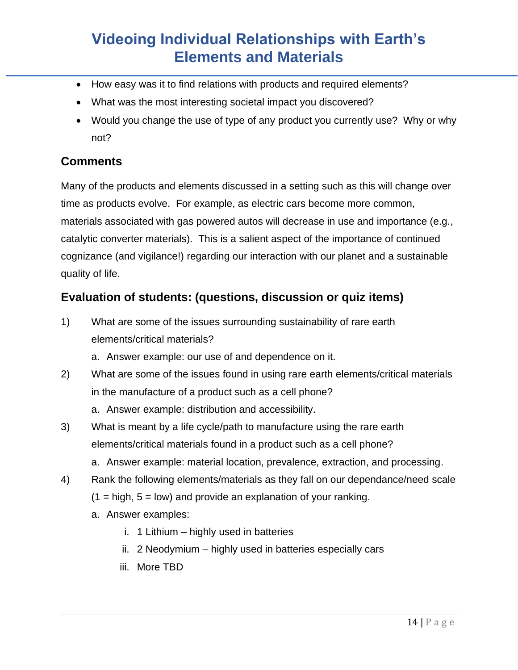- How easy was it to find relations with products and required elements?
- What was the most interesting societal impact you discovered?
- Would you change the use of type of any product you currently use? Why or why not?

### **Comments**

Many of the products and elements discussed in a setting such as this will change over time as products evolve. For example, as electric cars become more common, materials associated with gas powered autos will decrease in use and importance (e.g., catalytic converter materials). This is a salient aspect of the importance of continued cognizance (and vigilance!) regarding our interaction with our planet and a sustainable quality of life.

## **Evaluation of students: (questions, discussion or quiz items)**

- 1) What are some of the issues surrounding sustainability of rare earth elements/critical materials?
	- a. Answer example: our use of and dependence on it.
- 2) What are some of the issues found in using rare earth elements/critical materials in the manufacture of a product such as a cell phone?
	- a. Answer example: distribution and accessibility.
- 3) What is meant by a life cycle/path to manufacture using the rare earth elements/critical materials found in a product such as a cell phone?
	- a. Answer example: material location, prevalence, extraction, and processing.
- 4) Rank the following elements/materials as they fall on our dependance/need scale
	- $(1 = high, 5 = low)$  and provide an explanation of your ranking.
	- a. Answer examples:
		- i. 1 Lithium highly used in batteries
		- ii. 2 Neodymium highly used in batteries especially cars
		- iii. More TBD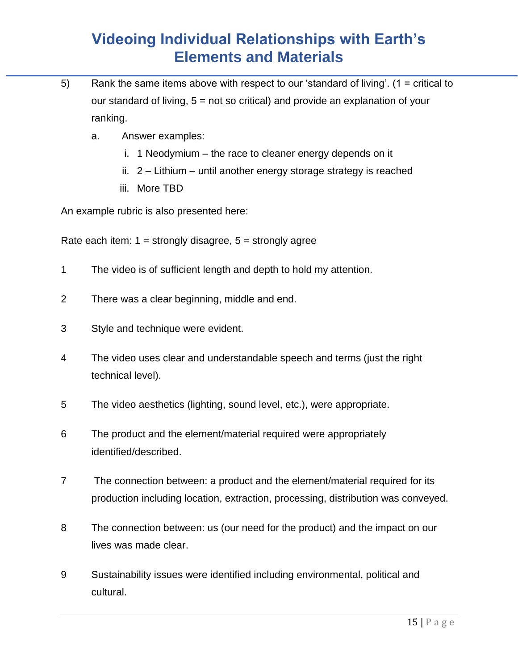- 5) Rank the same items above with respect to our 'standard of living'. (1 = critical to our standard of living, 5 = not so critical) and provide an explanation of your ranking.
	- a. Answer examples:
		- i. 1 Neodymium the race to cleaner energy depends on it
		- ii. 2 Lithium until another energy storage strategy is reached
		- iii. More TBD

An example rubric is also presented here:

Rate each item:  $1 =$  strongly disagree,  $5 =$  strongly agree

- 1 The video is of sufficient length and depth to hold my attention.
- 2 There was a clear beginning, middle and end.
- 3 Style and technique were evident.
- 4 The video uses clear and understandable speech and terms (just the right technical level).
- 5 The video aesthetics (lighting, sound level, etc.), were appropriate.
- 6 The product and the element/material required were appropriately identified/described.
- 7 The connection between: a product and the element/material required for its production including location, extraction, processing, distribution was conveyed.
- 8 The connection between: us (our need for the product) and the impact on our lives was made clear.
- 9 Sustainability issues were identified including environmental, political and cultural.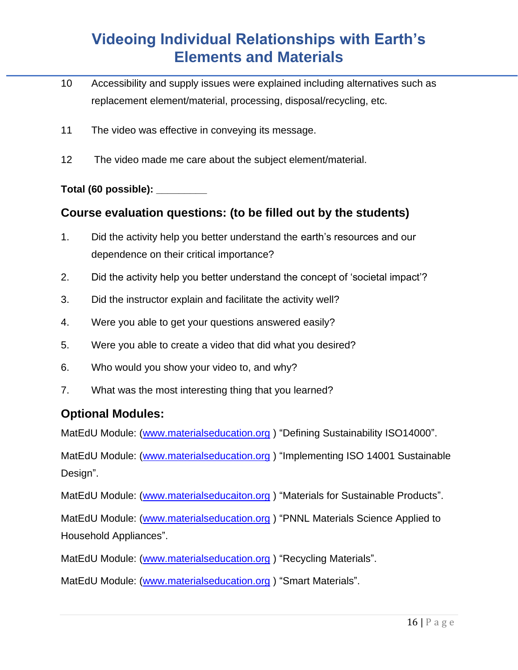- 10 Accessibility and supply issues were explained including alternatives such as replacement element/material, processing, disposal/recycling, etc.
- 11 The video was effective in conveying its message.
- 12 The video made me care about the subject element/material.

#### **Total (60 possible): \_\_\_\_\_\_\_\_\_**

### **Course evaluation questions: (to be filled out by the students)**

- 1. Did the activity help you better understand the earth's resources and our dependence on their critical importance?
- 2. Did the activity help you better understand the concept of 'societal impact'?
- 3. Did the instructor explain and facilitate the activity well?
- 4. Were you able to get your questions answered easily?
- 5. Were you able to create a video that did what you desired?
- 6. Who would you show your video to, and why?
- 7. What was the most interesting thing that you learned?

### **Optional Modules:**

MatEdU Module: [\(www.materialseducation.org](http://www.materialseducation.org/) ) "Defining Sustainability ISO14000".

MatEdU Module: [\(www.materialseducation.org](http://www.materialseducation.org/) ) "Implementing ISO 14001 Sustainable Design".

MatEdU Module: [\(www.materialseducaiton.org](http://www.materialseducaiton.org/)) "Materials for Sustainable Products".

MatEdU Module: [\(www.materialseducation.org](http://www.materialseducation.org/) ) "PNNL Materials Science Applied to Household Appliances".

MatEdU Module: [\(www.materialseducation.org](http://www.materialseducation.org/) ) "Recycling Materials".

MatEdU Module: [\(www.materialseducation.org](http://www.materialseducation.org/) ) "Smart Materials".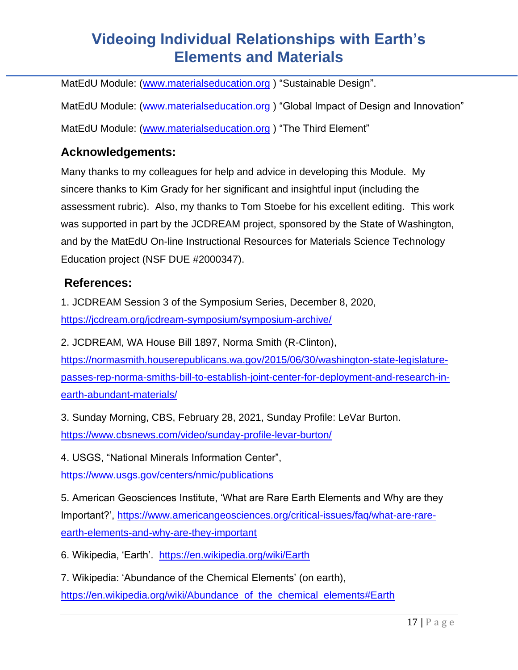MatEdU Module: [\(www.materialseducation.org](http://www.materialseducation.org/) ) "Sustainable Design".

MatEdU Module: [\(www.materialseducation.org](http://www.materialseducation.org/)) "Global Impact of Design and Innovation" MatEdU Module: [\(www.materialseducation.org](http://www.materialseducation.org/) ) "The Third Element"

## **Acknowledgements:**

Many thanks to my colleagues for help and advice in developing this Module. My sincere thanks to Kim Grady for her significant and insightful input (including the assessment rubric). Also, my thanks to Tom Stoebe for his excellent editing. This work was supported in part by the JCDREAM project, sponsored by the State of Washington, and by the MatEdU On-line Instructional Resources for Materials Science Technology Education project (NSF DUE #2000347).

### **References:**

1. JCDREAM Session 3 of the Symposium Series, December 8, 2020, <https://jcdream.org/jcdream-symposium/symposium-archive/>

2. JCDREAM, WA House Bill 1897, Norma Smith (R-Clinton),

[https://normasmith.houserepublicans.wa.gov/2015/06/30/washington-state-legislature](https://normasmith.houserepublicans.wa.gov/2015/06/30/washington-state-legislature-passes-rep-norma-smiths-bill-to-establish-joint-center-for-deployment-and-research-in-earth-abundant-materials/)[passes-rep-norma-smiths-bill-to-establish-joint-center-for-deployment-and-research-in](https://normasmith.houserepublicans.wa.gov/2015/06/30/washington-state-legislature-passes-rep-norma-smiths-bill-to-establish-joint-center-for-deployment-and-research-in-earth-abundant-materials/)[earth-abundant-materials/](https://normasmith.houserepublicans.wa.gov/2015/06/30/washington-state-legislature-passes-rep-norma-smiths-bill-to-establish-joint-center-for-deployment-and-research-in-earth-abundant-materials/)

3. Sunday Morning, CBS, February 28, 2021, Sunday Profile: LeVar Burton. <https://www.cbsnews.com/video/sunday-profile-levar-burton/>

4. USGS, "National Minerals Information Center", <https://www.usgs.gov/centers/nmic/publications>

5. American Geosciences Institute, 'What are Rare Earth Elements and Why are they Important?', [https://www.americangeosciences.org/critical-issues/faq/what-are-rare](https://www.americangeosciences.org/critical-issues/faq/what-are-rare-earth-elements-and-why-are-they-important)[earth-elements-and-why-are-they-important](https://www.americangeosciences.org/critical-issues/faq/what-are-rare-earth-elements-and-why-are-they-important)

6. Wikipedia, 'Earth'. <https://en.wikipedia.org/wiki/Earth>

7. Wikipedia: 'Abundance of the Chemical Elements' (on earth),

https://en.wikipedia.org/wiki/Abundance of the chemical elements#Earth